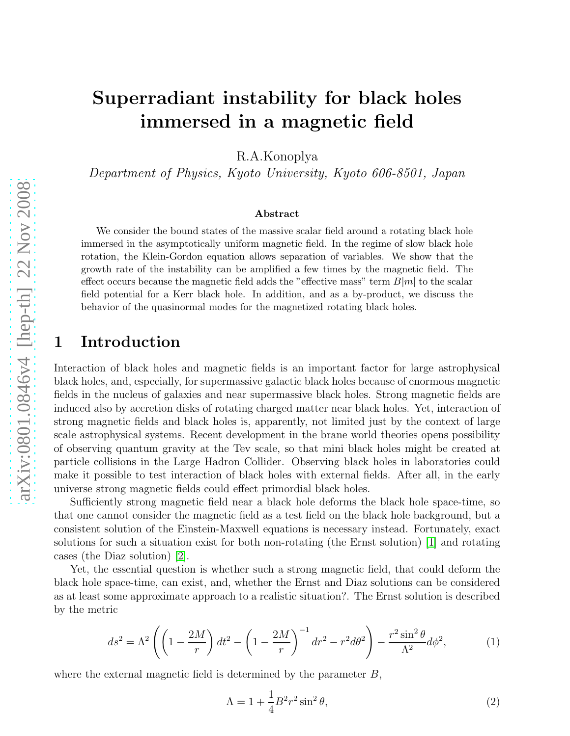# Superradiant instability for black holes immersed in a magnetic field

R.A.Konoplya

Department of Physics, Kyoto University, Kyoto 606-8501, Japan

#### Abstract

We consider the bound states of the massive scalar field around a rotating black hole immersed in the asymptotically uniform magnetic field. In the regime of slow black hole rotation, the Klein-Gordon equation allows separation of variables. We show that the growth rate of the instability can be amplified a few times by the magnetic field. The effect occurs because the magnetic field adds the "effective mass" term  $B|m|$  to the scalar field potential for a Kerr black hole. In addition, and as a by-product, we discuss the behavior of the quasinormal modes for the magnetized rotating black holes.

#### 1 Introduction

Interaction of black holes and magnetic fields is an important factor for large astrophysical black holes, and, especially, for supermassive galactic black holes because of enormous magnetic fields in the nucleus of galaxies and near supermassive black holes. Strong magnetic fields are induced also by accretion disks of rotating charged matter near black holes. Yet, interaction of strong magnetic fields and black holes is, apparently, not limited just by the context of large scale astrophysical systems. Recent development in the brane world theories opens possibility of observing quantum gravity at the Tev scale, so that mini black holes might be created at particle collisions in the Large Hadron Collider. Observing black holes in laboratories could make it possible to test interaction of black holes with external fields. After all, in the early universe strong magnetic fields could effect primordial black holes.

Sufficiently strong magnetic field near a black hole deforms the black hole space-time, so that one cannot consider the magnetic field as a test field on the black hole background, but a consistent solution of the Einstein-Maxwell equations is necessary instead. Fortunately, exact solutions for such a situation exist for both non-rotating (the Ernst solution) [\[1\]](#page-9-0) and rotating cases (the Diaz solution) [\[2\]](#page-9-1).

Yet, the essential question is whether such a strong magnetic field, that could deform the black hole space-time, can exist, and, whether the Ernst and Diaz solutions can be considered as at least some approximate approach to a realistic situation?. The Ernst solution is described by the metric

$$
ds^{2} = \Lambda^{2} \left( \left( 1 - \frac{2M}{r} \right) dt^{2} - \left( 1 - \frac{2M}{r} \right)^{-1} dr^{2} - r^{2} d\theta^{2} \right) - \frac{r^{2} \sin^{2} \theta}{\Lambda^{2}} d\phi^{2},
$$
 (1)

where the external magnetic field is determined by the parameter  $B$ ,

$$
\Lambda = 1 + \frac{1}{4}B^2r^2\sin^2\theta,\tag{2}
$$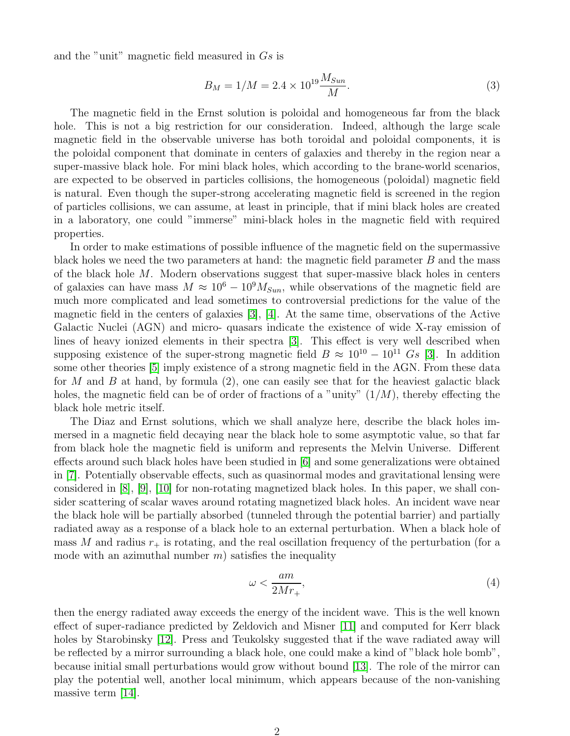and the "unit" magnetic field measured in Gs is

$$
B_M = 1/M = 2.4 \times 10^{19} \frac{M_{Sun}}{M}.
$$
\n(3)

The magnetic field in the Ernst solution is poloidal and homogeneous far from the black hole. This is not a big restriction for our consideration. Indeed, although the large scale magnetic field in the observable universe has both toroidal and poloidal components, it is the poloidal component that dominate in centers of galaxies and thereby in the region near a super-massive black hole. For mini black holes, which according to the brane-world scenarios, are expected to be observed in particles collisions, the homogeneous (poloidal) magnetic field is natural. Even though the super-strong accelerating magnetic field is screened in the region of particles collisions, we can assume, at least in principle, that if mini black holes are created in a laboratory, one could "immerse" mini-black holes in the magnetic field with required properties.

In order to make estimations of possible influence of the magnetic field on the supermassive black holes we need the two parameters at hand: the magnetic field parameter  $B$  and the mass of the black hole M. Modern observations suggest that super-massive black holes in centers of galaxies can have mass  $M \approx 10^6 - 10^9 M_{Sun}$ , while observations of the magnetic field are much more complicated and lead sometimes to controversial predictions for the value of the magnetic field in the centers of galaxies [\[3\]](#page-9-2), [\[4\]](#page-9-3). At the same time, observations of the Active Galactic Nuclei (AGN) and micro- quasars indicate the existence of wide X-ray emission of lines of heavy ionized elements in their spectra [\[3\]](#page-9-2). This effect is very well described when supposing existence of the super-strong magnetic field  $B \approx 10^{10} - 10^{11}$  Gs [\[3\]](#page-9-2). In addition some other theories [\[5\]](#page-9-4) imply existence of a strong magnetic field in the AGN. From these data for M and B at hand, by formula  $(2)$ , one can easily see that for the heaviest galactic black holes, the magnetic field can be of order of fractions of a "unity"  $(1/M)$ , thereby effecting the black hole metric itself.

The Diaz and Ernst solutions, which we shall analyze here, describe the black holes immersed in a magnetic field decaying near the black hole to some asymptotic value, so that far from black hole the magnetic field is uniform and represents the Melvin Universe. Different effects around such black holes have been studied in [\[6\]](#page-9-5) and some generalizations were obtained in [\[7\]](#page-9-6). Potentially observable effects, such as quasinormal modes and gravitational lensing were considered in  $[8]$ ,  $[9]$ ,  $[10]$  for non-rotating magnetized black holes. In this paper, we shall consider scattering of scalar waves around rotating magnetized black holes. An incident wave near the black hole will be partially absorbed (tunneled through the potential barrier) and partially radiated away as a response of a black hole to an external perturbation. When a black hole of mass M and radius  $r_{+}$  is rotating, and the real oscillation frequency of the perturbation (for a mode with an azimuthal number  $m$ ) satisfies the inequality

$$
\omega < \frac{am}{2Mr_+},\tag{4}
$$

then the energy radiated away exceeds the energy of the incident wave. This is the well known effect of super-radiance predicted by Zeldovich and Misner [\[11\]](#page-9-10) and computed for Kerr black holes by Starobinsky [\[12\]](#page-9-11). Press and Teukolsky suggested that if the wave radiated away will be reflected by a mirror surrounding a black hole, one could make a kind of "black hole bomb", because initial small perturbations would grow without bound [\[13\]](#page-9-12). The role of the mirror can play the potential well, another local minimum, which appears because of the non-vanishing massive term [\[14\]](#page-9-13).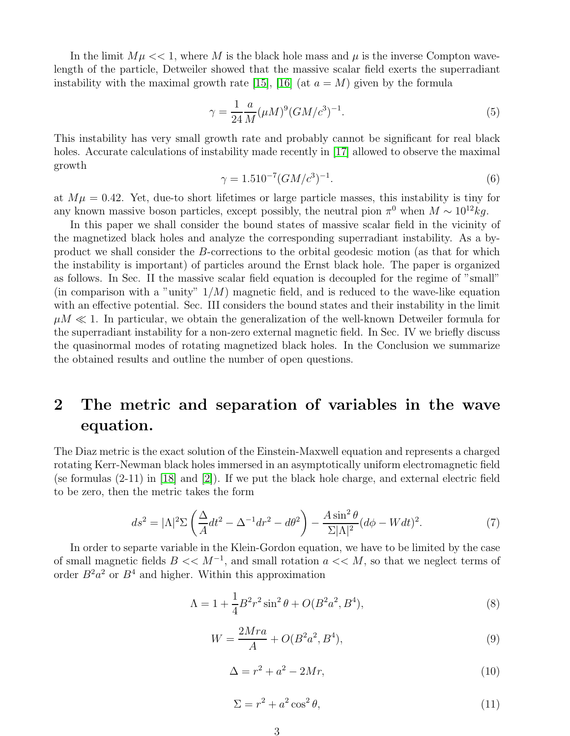In the limit  $M\mu << 1$ , where M is the black hole mass and  $\mu$  is the inverse Compton wavelength of the particle, Detweiler showed that the massive scalar field exerts the superradiant instability with the maximal growth rate [\[15\]](#page-9-14), [\[16\]](#page-9-15) (at  $a = M$ ) given by the formula

$$
\gamma = \frac{1}{24} \frac{a}{M} (\mu M)^9 (GM/c^3)^{-1}.
$$
\n(5)

This instability has very small growth rate and probably cannot be significant for real black holes. Accurate calculations of instability made recently in [\[17\]](#page-9-16) allowed to observe the maximal growth

$$
\gamma = 1.510^{-7} (GM/c^3)^{-1}.
$$
\n(6)

at  $M\mu = 0.42$ . Yet, due-to short lifetimes or large particle masses, this instability is tiny for any known massive boson particles, except possibly, the neutral pion  $\pi^0$  when  $M \sim 10^{12} kg$ .

In this paper we shall consider the bound states of massive scalar field in the vicinity of the magnetized black holes and analyze the corresponding superradiant instability. As a byproduct we shall consider the B-corrections to the orbital geodesic motion (as that for which the instability is important) of particles around the Ernst black hole. The paper is organized as follows. In Sec. II the massive scalar field equation is decoupled for the regime of "small" (in comparison with a "unity"  $1/M$ ) magnetic field, and is reduced to the wave-like equation with an effective potential. Sec. III considers the bound states and their instability in the limit  $\mu M \ll 1$ . In particular, we obtain the generalization of the well-known Detweiler formula for the superradiant instability for a non-zero external magnetic field. In Sec. IV we briefly discuss the quasinormal modes of rotating magnetized black holes. In the Conclusion we summarize the obtained results and outline the number of open questions.

## 2 The metric and separation of variables in the wave equation.

The Diaz metric is the exact solution of the Einstein-Maxwell equation and represents a charged rotating Kerr-Newman black holes immersed in an asymptotically uniform electromagnetic field (se formulas (2-11) in [\[18\]](#page-9-17) and [\[2\]](#page-9-1)). If we put the black hole charge, and external electric field to be zero, then the metric takes the form

$$
ds^2 = |\Lambda|^2 \Sigma \left(\frac{\Delta}{A} dt^2 - \Delta^{-1} dr^2 - d\theta^2\right) - \frac{A \sin^2 \theta}{\Sigma |\Lambda|^2} (d\phi - W dt)^2. \tag{7}
$$

In order to separte variable in the Klein-Gordon equation, we have to be limited by the case of small magnetic fields  $B \ll M^{-1}$ , and small rotation  $a \ll M$ , so that we neglect terms of order  $B^2a^2$  or  $B^4$  and higher. Within this approximation

$$
\Lambda = 1 + \frac{1}{4}B^2r^2\sin^2\theta + O(B^2a^2, B^4),\tag{8}
$$

$$
W = \frac{2Mra}{A} + O(B^2a^2, B^4),\tag{9}
$$

$$
\Delta = r^2 + a^2 - 2Mr,\tag{10}
$$

$$
\Sigma = r^2 + a^2 \cos^2 \theta,\tag{11}
$$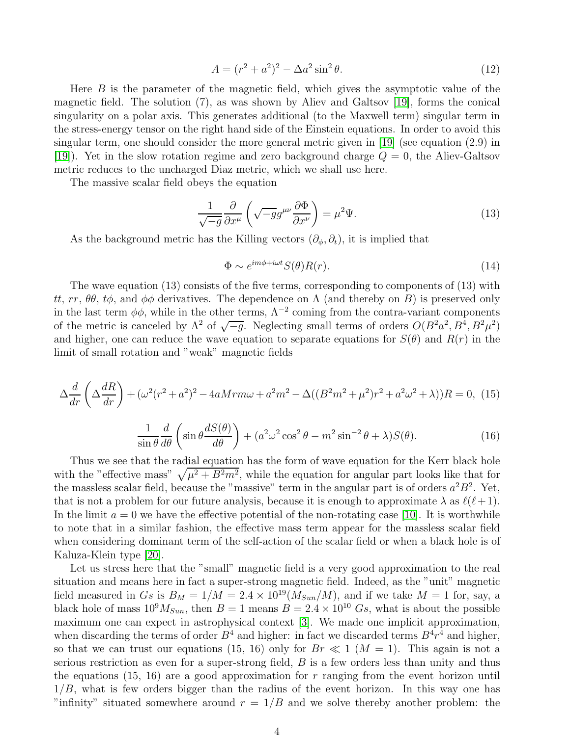$$
A = (r^2 + a^2)^2 - \Delta a^2 \sin^2 \theta.
$$
 (12)

Here  $B$  is the parameter of the magnetic field, which gives the asymptotic value of the magnetic field. The solution (7), as was shown by Aliev and Galtsov [\[19\]](#page-9-18), forms the conical singularity on a polar axis. This generates additional (to the Maxwell term) singular term in the stress-energy tensor on the right hand side of the Einstein equations. In order to avoid this singular term, one should consider the more general metric given in [\[19\]](#page-9-18) (see equation (2.9) in [\[19\]](#page-9-18)). Yet in the slow rotation regime and zero background charge  $Q = 0$ , the Aliev-Galtsov metric reduces to the uncharged Diaz metric, which we shall use here.

The massive scalar field obeys the equation

$$
\frac{1}{\sqrt{-g}}\frac{\partial}{\partial x^{\mu}}\left(\sqrt{-g}g^{\mu\nu}\frac{\partial\Phi}{\partial x^{\nu}}\right) = \mu^{2}\Psi.
$$
\n(13)

As the background metric has the Killing vectors  $(\partial_{\phi}, \partial_{t})$ , it is implied that

$$
\Phi \sim e^{im\phi + i\omega t} S(\theta) R(r). \tag{14}
$$

The wave equation (13) consists of the five terms, corresponding to components of (13) with tt, rr,  $\theta\theta$ , t $\phi$ , and  $\phi\phi$  derivatives. The dependence on  $\Lambda$  (and thereby on B) is preserved only in the last term  $\phi\phi$ , while in the other terms,  $\Lambda^{-2}$  coming from the contra-variant components of the metric is canceled by  $\Lambda^2$  of  $\sqrt{-g}$ . Neglecting small terms of orders  $O(B^2a^2, B^4, B^2\mu^2)$ and higher, one can reduce the wave equation to separate equations for  $S(\theta)$  and  $R(r)$  in the limit of small rotation and "weak" magnetic fields

$$
\Delta \frac{d}{dr} \left( \Delta \frac{dR}{dr} \right) + (\omega^2 (r^2 + a^2)^2 - 4a M r m \omega + a^2 m^2 - \Delta ((B^2 m^2 + \mu^2) r^2 + a^2 \omega^2 + \lambda)) R = 0, (15)
$$

$$
\frac{1}{\sin\theta}\frac{d}{d\theta}\left(\sin\theta\frac{dS(\theta)}{d\theta}\right) + (a^2\omega^2\cos^2\theta - m^2\sin^{-2}\theta + \lambda)S(\theta). \tag{16}
$$

Thus we see that the radial equation has the form of wave equation for the Kerr black hole with the "effective mass"  $\sqrt{\mu^2 + B^2 m^2}$ , while the equation for angular part looks like that for the massless scalar field, because the "massive" term in the angular part is of orders  $a^2B^2$ . Yet, that is not a problem for our future analysis, because it is enough to approximate  $\lambda$  as  $\ell(\ell+1)$ . In the limit  $a = 0$  we have the effective potential of the non-rotating case [\[10\]](#page-9-9). It is worthwhile to note that in a similar fashion, the effective mass term appear for the massless scalar field when considering dominant term of the self-action of the scalar field or when a black hole is of Kaluza-Klein type [\[20\]](#page-9-19).

Let us stress here that the "small" magnetic field is a very good approximation to the real situation and means here in fact a super-strong magnetic field. Indeed, as the "unit" magnetic field measured in Gs is  $B_M = 1/M = 2.4 \times 10^{19} (M_{Sun}/M)$ , and if we take  $M = 1$  for, say, a black hole of mass  $10^9 M_{Sun}$ , then  $B = 1$  means  $B = 2.4 \times 10^{10} Gs$ , what is about the possible maximum one can expect in astrophysical context [\[3\]](#page-9-2). We made one implicit approximation, when discarding the terms of order  $B^4$  and higher: in fact we discarded terms  $B^4r^4$  and higher, so that we can trust our equations (15, 16) only for  $Br \ll 1$  ( $M = 1$ ). This again is not a serious restriction as even for a super-strong field, B is a few orders less than unity and thus the equations (15, 16) are a good approximation for  $r$  ranging from the event horizon until  $1/B$ , what is few orders bigger than the radius of the event horizon. In this way one has "infinity" situated somewhere around  $r = 1/B$  and we solve thereby another problem: the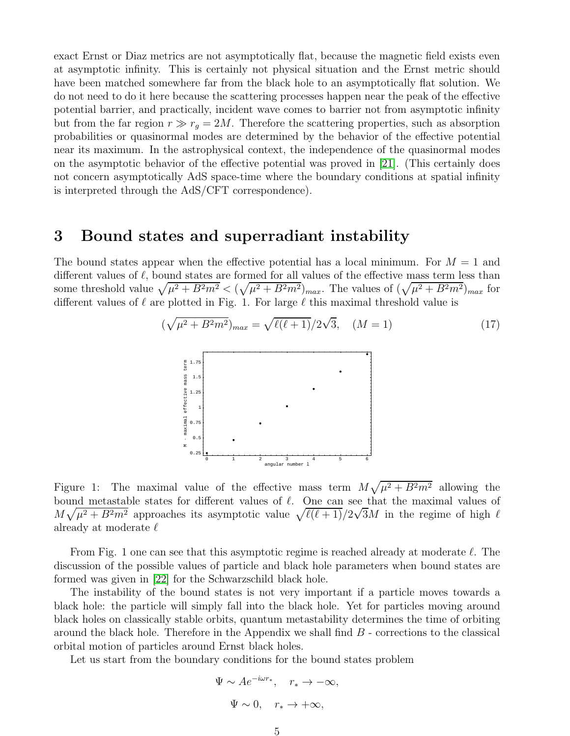exact Ernst or Diaz metrics are not asymptotically flat, because the magnetic field exists even at asymptotic infinity. This is certainly not physical situation and the Ernst metric should have been matched somewhere far from the black hole to an asymptotically flat solution. We do not need to do it here because the scattering processes happen near the peak of the effective potential barrier, and practically, incident wave comes to barrier not from asymptotic infinity but from the far region  $r \gg r_q = 2M$ . Therefore the scattering properties, such as absorption probabilities or quasinormal modes are determined by the behavior of the effective potential near its maximum. In the astrophysical context, the independence of the quasinormal modes on the asymptotic behavior of the effective potential was proved in [\[21\]](#page-9-20). (This certainly does not concern asymptotically AdS space-time where the boundary conditions at spatial infinity is interpreted through the AdS/CFT correspondence).

#### 3 Bound states and superradiant instability

The bound states appear when the effective potential has a local minimum. For  $M = 1$  and different values of  $\ell$ , bound states are formed for all values of the effective mass term less than some threshold value  $\sqrt{\mu^2 + B^2 m^2} < (\sqrt{\mu^2 + B^2 m^2})_{max}$ . The values of  $(\sqrt{\mu^2 + B^2 m^2})_{max}$  for different values of  $\ell$  are plotted in Fig. 1. For large  $\ell$  this maximal threshold value is

$$
(\sqrt{\mu^2 + B^2 m^2})_{max} = \sqrt{\ell(\ell+1)}/2\sqrt{3}, \quad (M = 1)
$$
\n
$$
\begin{array}{c}\n\left[\frac{5}{8}\right]^{1.75} \\
\frac{2}{8}\left[\frac{1}{8}\right]^{1.5} \\
\frac{2}{8}\left[\frac{1}{8}\right]^{1.25} \\
\frac{2}{8}\left[\frac{1}{8}\right]^{1.25} \\
\frac{2}{8}\left[\frac{1}{8}\right]^{1.25} \\
\frac{2}{8}\left[\frac{1}{8}\right]^{1.25} \\
\frac{2}{8}\left[\frac{1}{8}\right]^{1.25} \\
\frac{2}{8}\left[\frac{1}{8}\right]^{1.25} \\
\frac{2}{8}\left[\frac{1}{8}\right]^{1.25} \\
\frac{2}{8}\left[\frac{1}{8}\right]^{1.25} \\
\frac{2}{8}\left[\frac{1}{8}\right]^{1.25} \\
\frac{2}{8}\left[\frac{1}{8}\right]^{1.25} \\
\frac{2}{8}\left[\frac{1}{8}\right]^{1.25} \\
\frac{2}{8}\left[\frac{1}{8}\right]^{1.25} \\
\frac{2}{8}\left[\frac{1}{8}\right]^{1.25} \\
\frac{2}{8}\left[\frac{1}{8}\right]^{1.25} \\
\frac{2}{8}\left[\frac{1}{8}\right]^{1.25} \\
\frac{2}{8}\left[\frac{1}{8}\right]^{1.25} \\
\frac{2}{8}\left[\frac{1}{8}\right]^{1.25} \\
\frac{2}{8}\left[\frac{1}{8}\right]^{1.25} \\
\frac{2}{8}\left[\frac{1}{8}\right]^{1.25} \\
\frac{2}{8}\left[\frac{1}{8}\right]^{1.25} \\
\frac{2}{8}\left[\frac{1}{8}\right]^{1.25} \\
\frac{2}{8}\left[\frac{1}{8}\right]^{1.25} \\
\frac{2}{8}\left[\frac{1}{8}\right]^{1.25} \\
\frac{2}{8}\left[\frac{1}{8}\right]^{1.25} \\
\frac{2}{8}\left[\frac{1}{8}\right]^{1.25} \\
\frac{2}{8}\left[\frac{1}{8}\right]^{1.25} \\
\frac{2}{8}\left[\frac{1}{8}\right]^{1.25} \\
\frac{2}{8}\left[\frac{1
$$

Figure 1: The maximal value of the effective mass term  $M\sqrt{\mu^2+B^2m^2}$  allowing the bound metastable states for different values of  $\ell$ . One can see that the maximal values of  $M\sqrt{\mu^2+B^2m^2}$  approaches its asymptotic value  $\sqrt{\ell(\ell+1)}/2\sqrt{3}M$  in the regime of high  $\ell$ already at moderate  $\ell$ 

0 1 2 3 4 5 6<br>angular number 1

From Fig. 1 one can see that this asymptotic regime is reached already at moderate  $\ell$ . The discussion of the possible values of particle and black hole parameters when bound states are formed was given in [\[22\]](#page-9-21) for the Schwarzschild black hole.

The instability of the bound states is not very important if a particle moves towards a black hole: the particle will simply fall into the black hole. Yet for particles moving around black holes on classically stable orbits, quantum metastability determines the time of orbiting around the black hole. Therefore in the Appendix we shall find  $B$  - corrections to the classical orbital motion of particles around Ernst black holes.

Let us start from the boundary conditions for the bound states problem

$$
\Psi \sim Ae^{-i\omega r_*}, \quad r_* \to -\infty,
$$
  

$$
\Psi \sim 0, \quad r_* \to +\infty,
$$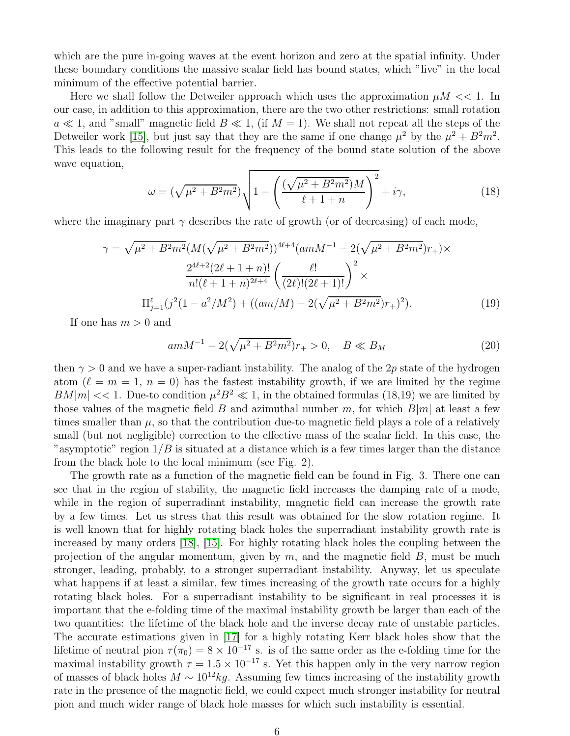which are the pure in-going waves at the event horizon and zero at the spatial infinity. Under these boundary conditions the massive scalar field has bound states, which "live" in the local minimum of the effective potential barrier.

Here we shall follow the Detweiler approach which uses the approximation  $\mu M \ll 1$ . In our case, in addition to this approximation, there are the two other restrictions: small rotation  $a \ll 1$ , and "small" magnetic field  $B \ll 1$ , (if  $M = 1$ ). We shall not repeat all the steps of the Detweiler work [\[15\]](#page-9-14), but just say that they are the same if one change  $\mu^2$  by the  $\mu^2 + B^2 m^2$ . This leads to the following result for the frequency of the bound state solution of the above wave equation,

$$
\omega = (\sqrt{\mu^2 + B^2 m^2}) \sqrt{1 - \left(\frac{(\sqrt{\mu^2 + B^2 m^2})M}{\ell + 1 + n}\right)^2} + i\gamma,
$$
\n(18)

where the imaginary part  $\gamma$  describes the rate of growth (or of decreasing) of each mode,

$$
\gamma = \sqrt{\mu^2 + B^2 m^2} (M(\sqrt{\mu^2 + B^2 m^2}))^{4\ell+4} (amM^{-1} - 2(\sqrt{\mu^2 + B^2 m^2})r_+) \times
$$

$$
\frac{2^{4\ell+2} (2\ell + 1 + n)!}{n! (\ell + 1 + n)^{2\ell+4}} \left(\frac{\ell!}{(2\ell)! (2\ell + 1)!}\right)^2 \times
$$

$$
\Pi_{j=1}^{\ell} (j^2 (1 - a^2/M^2) + ((am/M) - 2(\sqrt{\mu^2 + B^2 m^2})r_+)^2).
$$
(19)

If one has  $m > 0$  and

$$
amM^{-1} - 2(\sqrt{\mu^2 + B^2 m^2})r_+ > 0, \quad B \ll B_M
$$
\n(20)

then  $\gamma > 0$  and we have a super-radiant instability. The analog of the 2p state of the hydrogen atom ( $\ell = m = 1, n = 0$ ) has the fastest instability growth, if we are limited by the regime  $BM|m| \ll 1$ . Due-to condition  $\mu^2 B^2 \ll 1$ , in the obtained formulas (18,19) we are limited by those values of the magnetic field B and azimuthal number m, for which  $B|m|$  at least a few times smaller than  $\mu$ , so that the contribution due-to magnetic field plays a role of a relatively small (but not negligible) correction to the effective mass of the scalar field. In this case, the "asymptotic" region  $1/B$  is situated at a distance which is a few times larger than the distance from the black hole to the local minimum (see Fig. 2).

The growth rate as a function of the magnetic field can be found in Fig. 3. There one can see that in the region of stability, the magnetic field increases the damping rate of a mode, while in the region of superradiant instability, magnetic field can increase the growth rate by a few times. Let us stress that this result was obtained for the slow rotation regime. It is well known that for highly rotating black holes the superradiant instability growth rate is increased by many orders [\[18\]](#page-9-17), [\[15\]](#page-9-14). For highly rotating black holes the coupling between the projection of the angular momentum, given by  $m$ , and the magnetic field  $B$ , must be much stronger, leading, probably, to a stronger superradiant instability. Anyway, let us speculate what happens if at least a similar, few times increasing of the growth rate occurs for a highly rotating black holes. For a superradiant instability to be significant in real processes it is important that the e-folding time of the maximal instability growth be larger than each of the two quantities: the lifetime of the black hole and the inverse decay rate of unstable particles. The accurate estimations given in [\[17\]](#page-9-16) for a highly rotating Kerr black holes show that the lifetime of neutral pion  $\tau(\pi_0) = 8 \times 10^{-17}$  s. is of the same order as the e-folding time for the maximal instability growth  $\tau = 1.5 \times 10^{-17}$  s. Yet this happen only in the very narrow region of masses of black holes  $M \sim 10^{12} kg$ . Assuming few times increasing of the instability growth rate in the presence of the magnetic field, we could expect much stronger instability for neutral pion and much wider range of black hole masses for which such instability is essential.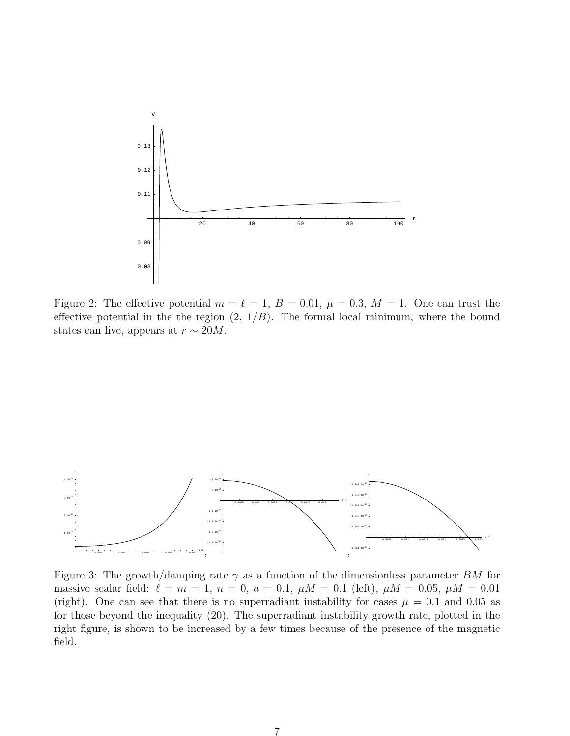

Figure 2: The effective potential  $m = \ell = 1, B = 0.01, \mu = 0.3, M = 1$ . One can trust the effective potential in the the region  $(2, 1/B)$ . The formal local minimum, where the bound states can live, appears at  $r \sim 20M$ .



Figure 3: The growth/damping rate  $\gamma$  as a function of the dimensionless parameter BM for massive scalar field:  $\ell = m = 1, n = 0, a = 0.1, \mu M = 0.1$  (left),  $\mu M = 0.05, \mu M = 0.01$ (right). One can see that there is no superradiant instability for cases  $\mu = 0.1$  and 0.05 as for those beyond the inequality (20). The superradiant instability growth rate, plotted in the right figure, is shown to be increased by a few times because of the presence of the magnetic field.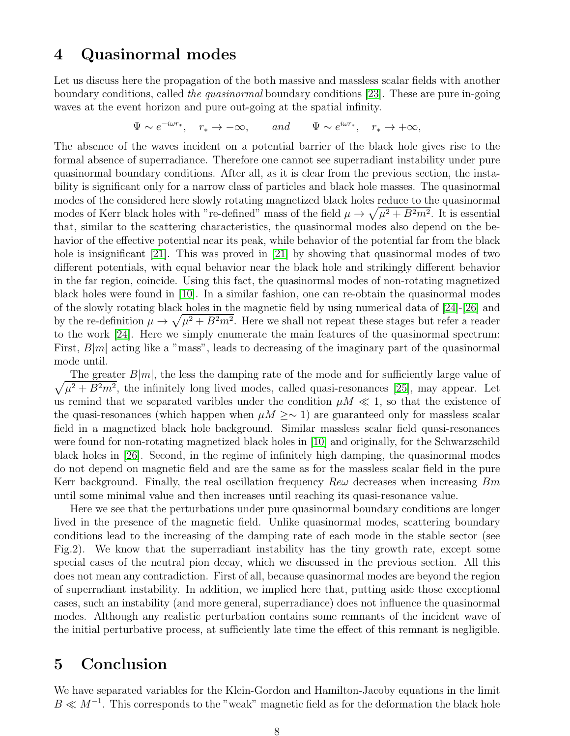#### 4 Quasinormal modes

Let us discuss here the propagation of the both massive and massless scalar fields with another boundary conditions, called the quasinormal boundary conditions [\[23\]](#page-9-22). These are pure in-going waves at the event horizon and pure out-going at the spatial infinity.

$$
\Psi \sim e^{-i\omega r_*}
$$
,  $r_* \to -\infty$ , and  $\Psi \sim e^{i\omega r_*}$ ,  $r_* \to +\infty$ ,

The absence of the waves incident on a potential barrier of the black hole gives rise to the formal absence of superradiance. Therefore one cannot see superradiant instability under pure quasinormal boundary conditions. After all, as it is clear from the previous section, the instability is significant only for a narrow class of particles and black hole masses. The quasinormal modes of the considered here slowly rotating magnetized black holes reduce to the quasinormal modes of Kerr black holes with "re-defined" mass of the field  $\mu \to \sqrt{\mu^2 + B^2 m^2}$ . It is essential that, similar to the scattering characteristics, the quasinormal modes also depend on the behavior of the effective potential near its peak, while behavior of the potential far from the black hole is insignificant [\[21\]](#page-9-20). This was proved in [\[21\]](#page-9-20) by showing that quasinormal modes of two different potentials, with equal behavior near the black hole and strikingly different behavior in the far region, coincide. Using this fact, the quasinormal modes of non-rotating magnetized black holes were found in [\[10\]](#page-9-9). In a similar fashion, one can re-obtain the quasinormal modes of the slowly rotating black holes in the magnetic field by using numerical data of [\[24\]](#page-10-0)-[\[26\]](#page-10-1) and by the re-definition  $\mu \to \sqrt{\mu^2 + B^2 m^2}$ . Here we shall not repeat these stages but refer a reader to the work [\[24\]](#page-10-0). Here we simply enumerate the main features of the quasinormal spectrum: First,  $B|m|$  acting like a "mass", leads to decreasing of the imaginary part of the quasinormal mode until.

 $\sqrt{\mu^2 + B^2 m^2}$ , the infinitely long lived modes, called quasi-resonances [\[25\]](#page-10-2), may appear. Let The greater  $B|m|$ , the less the damping rate of the mode and for sufficiently large value of us remind that we separated varibles under the condition  $\mu M \ll 1$ , so that the existence of the quasi-resonances (which happen when  $\mu M \ge \sim 1$ ) are guaranteed only for massless scalar field in a magnetized black hole background. Similar massless scalar field quasi-resonances were found for non-rotating magnetized black holes in [\[10\]](#page-9-9) and originally, for the Schwarzschild black holes in [\[26\]](#page-10-1). Second, in the regime of infinitely high damping, the quasinormal modes do not depend on magnetic field and are the same as for the massless scalar field in the pure Kerr background. Finally, the real oscillation frequency  $Re\omega$  decreases when increasing  $Bm$ until some minimal value and then increases until reaching its quasi-resonance value.

Here we see that the perturbations under pure quasinormal boundary conditions are longer lived in the presence of the magnetic field. Unlike quasinormal modes, scattering boundary conditions lead to the increasing of the damping rate of each mode in the stable sector (see Fig.2). We know that the superradiant instability has the tiny growth rate, except some special cases of the neutral pion decay, which we discussed in the previous section. All this does not mean any contradiction. First of all, because quasinormal modes are beyond the region of superradiant instability. In addition, we implied here that, putting aside those exceptional cases, such an instability (and more general, superradiance) does not influence the quasinormal modes. Although any realistic perturbation contains some remnants of the incident wave of the initial perturbative process, at sufficiently late time the effect of this remnant is negligible.

#### 5 Conclusion

We have separated variables for the Klein-Gordon and Hamilton-Jacoby equations in the limit  $B \ll M^{-1}$ . This corresponds to the "weak" magnetic field as for the deformation the black hole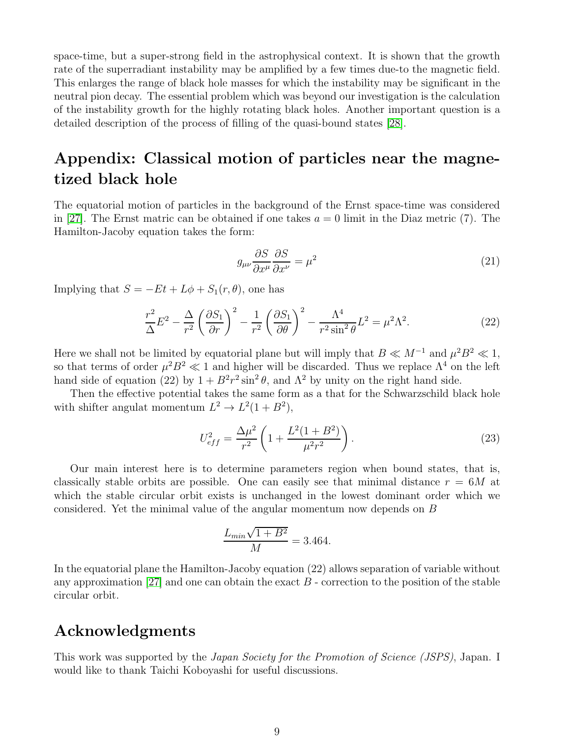space-time, but a super-strong field in the astrophysical context. It is shown that the growth rate of the superradiant instability may be amplified by a few times due-to the magnetic field. This enlarges the range of black hole masses for which the instability may be significant in the neutral pion decay. The essential problem which was beyond our investigation is the calculation of the instability growth for the highly rotating black holes. Another important question is a detailed description of the process of filling of the quasi-bound states [\[28\]](#page-10-3).

### Appendix: Classical motion of particles near the magnetized black hole

The equatorial motion of particles in the background of the Ernst space-time was considered in [\[27\]](#page-10-4). The Ernst matric can be obtained if one takes  $a = 0$  limit in the Diaz metric (7). The Hamilton-Jacoby equation takes the form:

$$
g_{\mu\nu}\frac{\partial S}{\partial x^{\mu}}\frac{\partial S}{\partial x^{\nu}} = \mu^2
$$
 (21)

Implying that  $S = -Et + L\phi + S_1(r, \theta)$ , one has

$$
\frac{r^2}{\Delta}E^2 - \frac{\Delta}{r^2} \left(\frac{\partial S_1}{\partial r}\right)^2 - \frac{1}{r^2} \left(\frac{\partial S_1}{\partial \theta}\right)^2 - \frac{\Lambda^4}{r^2 \sin^2 \theta} L^2 = \mu^2 \Lambda^2.
$$
 (22)

Here we shall not be limited by equatorial plane but will imply that  $B \ll M^{-1}$  and  $\mu^2 B^2 \ll 1$ , so that terms of order  $\mu^2 B^2 \ll 1$  and higher will be discarded. Thus we replace  $\Lambda^4$  on the left hand side of equation (22) by  $1 + B^2 r^2 \sin^2 \theta$ , and  $\Lambda^2$  by unity on the right hand side.

Then the effective potential takes the same form as a that for the Schwarzschild black hole with shifter angulat momentum  $L^2 \to L^2(1+B^2)$ ,

$$
U_{eff}^2 = \frac{\Delta \mu^2}{r^2} \left( 1 + \frac{L^2 (1 + B^2)}{\mu^2 r^2} \right). \tag{23}
$$

Our main interest here is to determine parameters region when bound states, that is, classically stable orbits are possible. One can easily see that minimal distance  $r = 6M$  at which the stable circular orbit exists is unchanged in the lowest dominant order which we considered. Yet the minimal value of the angular momentum now depends on B

$$
\frac{L_{min}\sqrt{1+B^2}}{M} = 3.464.
$$

In the equatorial plane the Hamilton-Jacoby equation (22) allows separation of variable without any approximation [\[27\]](#page-10-4) and one can obtain the exact  $B$  - correction to the position of the stable circular orbit.

#### Acknowledgments

This work was supported by the Japan Society for the Promotion of Science (JSPS), Japan. I would like to thank Taichi Koboyashi for useful discussions.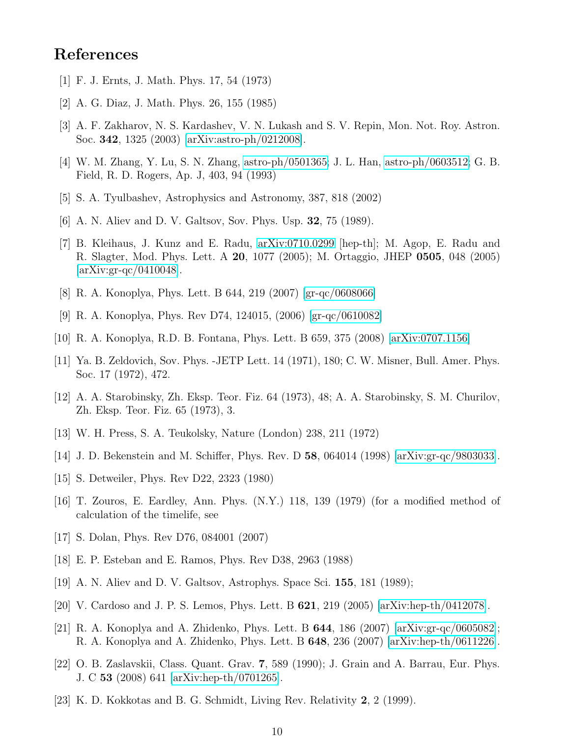### <span id="page-9-0"></span>References

- <span id="page-9-1"></span>[1] F. J. Ernts, J. Math. Phys. 17, 54 (1973)
- <span id="page-9-2"></span>[2] A. G. Diaz, J. Math. Phys. 26, 155 (1985)
- <span id="page-9-3"></span>[3] A. F. Zakharov, N. S. Kardashev, V. N. Lukash and S. V. Repin, Mon. Not. Roy. Astron. Soc. 342, 1325 (2003) [\[arXiv:astro-ph/0212008\]](http://arxiv.org/abs/astro-ph/0212008).
- <span id="page-9-4"></span>[4] W. M. Zhang, Y. Lu, S. N. Zhang, [astro-ph/0501365;](http://arxiv.org/abs/astro-ph/0501365) J. L. Han, [astro-ph/0603512;](http://arxiv.org/abs/astro-ph/0603512) G. B. Field, R. D. Rogers, Ap. J, 403, 94 (1993)
- <span id="page-9-5"></span>[5] S. A. Tyulbashev, Astrophysics and Astronomy, 387, 818 (2002)
- <span id="page-9-6"></span>[6] A. N. Aliev and D. V. Galtsov, Sov. Phys. Usp. 32, 75 (1989).
- [7] B. Kleihaus, J. Kunz and E. Radu, [arXiv:0710.0299](http://arxiv.org/abs/0710.0299) [hep-th]; M. Agop, E. Radu and R. Slagter, Mod. Phys. Lett. A 20, 1077 (2005); M. Ortaggio, JHEP 0505, 048 (2005) [\[arXiv:gr-qc/0410048\]](http://arxiv.org/abs/gr-qc/0410048).
- <span id="page-9-8"></span><span id="page-9-7"></span>[8] R. A. Konoplya, Phys. Lett. B 644, 219 (2007) [\[gr-qc/0608066\]](http://arxiv.org/abs/gr-qc/0608066)
- <span id="page-9-9"></span>[9] R. A. Konoplya, Phys. Rev D74, 124015, (2006) [\[gr-qc/0610082\]](http://arxiv.org/abs/gr-qc/0610082)
- <span id="page-9-10"></span>[10] R. A. Konoplya, R.D. B. Fontana, Phys. Lett. B 659, 375 (2008) [\[arXiv:0707.1156\]](http://arxiv.org/abs/0707.1156)
- [11] Ya. B. Zeldovich, Sov. Phys. -JETP Lett. 14 (1971), 180; C. W. Misner, Bull. Amer. Phys. Soc. 17 (1972), 472.
- <span id="page-9-11"></span>[12] A. A. Starobinsky, Zh. Eksp. Teor. Fiz. 64 (1973), 48; A. A. Starobinsky, S. M. Churilov, Zh. Eksp. Teor. Fiz. 65 (1973), 3.
- <span id="page-9-13"></span><span id="page-9-12"></span>[13] W. H. Press, S. A. Teukolsky, Nature (London) 238, 211 (1972)
- <span id="page-9-14"></span>[14] J. D. Bekenstein and M. Schiffer, Phys. Rev. D 58, 064014 (1998) [\[arXiv:gr-qc/9803033\]](http://arxiv.org/abs/gr-qc/9803033).
- <span id="page-9-15"></span>[15] S. Detweiler, Phys. Rev D22, 2323 (1980)
- <span id="page-9-16"></span>[16] T. Zouros, E. Eardley, Ann. Phys. (N.Y.) 118, 139 (1979) (for a modified method of calculation of the timelife, see
- <span id="page-9-17"></span>[17] S. Dolan, Phys. Rev D76, 084001 (2007)
- <span id="page-9-18"></span>[18] E. P. Esteban and E. Ramos, Phys. Rev D38, 2963 (1988)
- <span id="page-9-19"></span>[19] A. N. Aliev and D. V. Galtsov, Astrophys. Space Sci. 155, 181 (1989);
- <span id="page-9-20"></span>[20] V. Cardoso and J. P. S. Lemos, Phys. Lett. B 621, 219 (2005) [\[arXiv:hep-th/0412078\]](http://arxiv.org/abs/hep-th/0412078).
- [21] R. A. Konoplya and A. Zhidenko, Phys. Lett. B 644, 186 (2007) [\[arXiv:gr-qc/0605082\]](http://arxiv.org/abs/gr-qc/0605082); R. A. Konoplya and A. Zhidenko, Phys. Lett. B 648, 236 (2007) [\[arXiv:hep-th/0611226\]](http://arxiv.org/abs/hep-th/0611226).
- <span id="page-9-21"></span>[22] O. B. Zaslavskii, Class. Quant. Grav. 7, 589 (1990); J. Grain and A. Barrau, Eur. Phys. J. C 53 (2008) 641 [\[arXiv:hep-th/0701265\]](http://arxiv.org/abs/hep-th/0701265).
- <span id="page-9-22"></span>[23] K. D. Kokkotas and B. G. Schmidt, Living Rev. Relativity 2, 2 (1999).